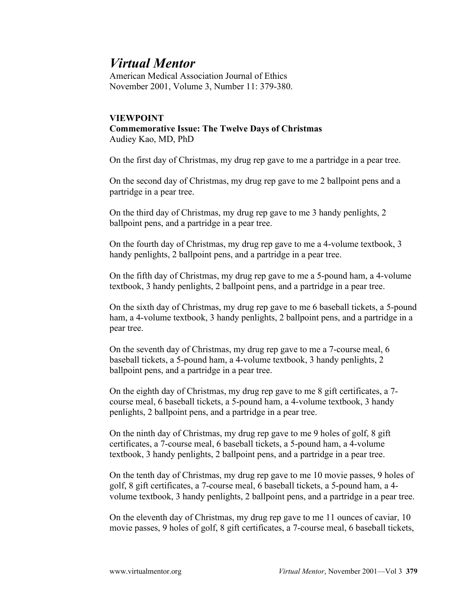## *Virtual Mentor*

American Medical Association Journal of Ethics November 2001, Volume 3, Number 11: 379-380.

## **VIEWPOINT Commemorative Issue: The Twelve Days of Christmas** Audiey Kao, MD, PhD

On the first day of Christmas, my drug rep gave to me a partridge in a pear tree.

On the second day of Christmas, my drug rep gave to me 2 ballpoint pens and a partridge in a pear tree.

On the third day of Christmas, my drug rep gave to me 3 handy penlights, 2 ballpoint pens, and a partridge in a pear tree.

On the fourth day of Christmas, my drug rep gave to me a 4-volume textbook, 3 handy penlights, 2 ballpoint pens, and a partridge in a pear tree.

On the fifth day of Christmas, my drug rep gave to me a 5-pound ham, a 4-volume textbook, 3 handy penlights, 2 ballpoint pens, and a partridge in a pear tree.

On the sixth day of Christmas, my drug rep gave to me 6 baseball tickets, a 5-pound ham, a 4-volume textbook, 3 handy penlights, 2 ballpoint pens, and a partridge in a pear tree.

On the seventh day of Christmas, my drug rep gave to me a 7-course meal, 6 baseball tickets, a 5-pound ham, a 4-volume textbook, 3 handy penlights, 2 ballpoint pens, and a partridge in a pear tree.

On the eighth day of Christmas, my drug rep gave to me 8 gift certificates, a 7 course meal, 6 baseball tickets, a 5-pound ham, a 4-volume textbook, 3 handy penlights, 2 ballpoint pens, and a partridge in a pear tree.

On the ninth day of Christmas, my drug rep gave to me 9 holes of golf, 8 gift certificates, a 7-course meal, 6 baseball tickets, a 5-pound ham, a 4-volume textbook, 3 handy penlights, 2 ballpoint pens, and a partridge in a pear tree.

On the tenth day of Christmas, my drug rep gave to me 10 movie passes, 9 holes of golf, 8 gift certificates, a 7-course meal, 6 baseball tickets, a 5-pound ham, a 4 volume textbook, 3 handy penlights, 2 ballpoint pens, and a partridge in a pear tree.

On the eleventh day of Christmas, my drug rep gave to me 11 ounces of caviar, 10 movie passes, 9 holes of golf, 8 gift certificates, a 7-course meal, 6 baseball tickets,